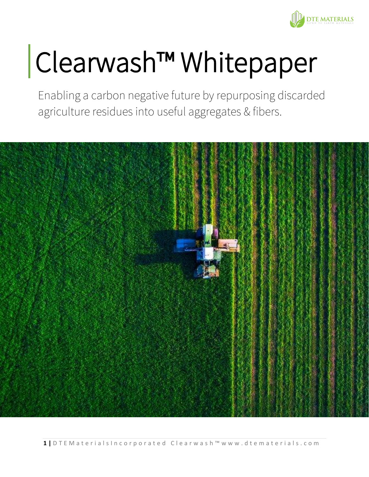

# Clearwash™ Whitepaper

Enabling a carbon negative future by repurposing discarded agriculture residues into useful aggregates & fibers.

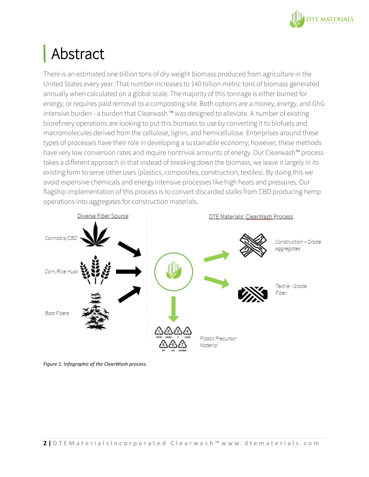

# Abstract

There is an estimated one billion tons of dry weight biomass produced from agriculture in the United States every year. That number increases to 140 billion metric tons of biomass generated annually when calculated on a global scale. The majority of this tonnage is either burned for energy, or requires paid removal to a composting site. Both options are a money, energy, and GhG intensive burden - a burden that Clearwash ™ was designed to alleviate. A number of existing biorefinery operations are looking to put this biomass to use by converting it to biofuels and macromolecules derived from the cellulose, lignin, and hemicellulose. Enterprises around these types of processes have their role in developing a sustainable economy; however, these methods have very low conversion rates and require nontrivial amounts of energy. Our Clearwash™ process takes a different approach in that instead of breaking down the biomass, we leave it largely in its existing form to serve other uses (plastics, composites, construction, textiles). By doing this we avoid expensive chemicals and energy intensive processes like high heats and pressures. Our flagship implementation of this process is to convert discarded stalks from CBD producing hemp operations into aggregates for construction materials.



*Figure 1. Infographic of the ClearWash process.*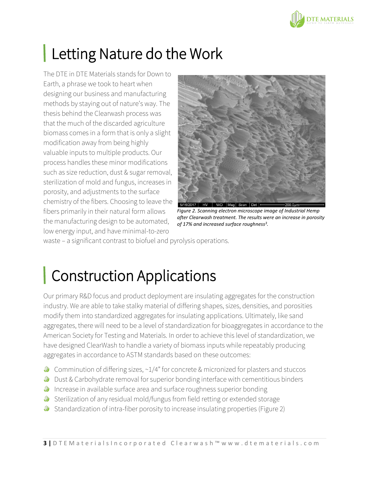

# **Letting Nature do the Work**

The DTE in DTE Materials stands for Down to Earth, a phrase we took to heart when designing our business and manufacturing methods by staying out of nature's way. The thesis behind the Clearwash process was that the much of the discarded agriculture biomass comes in a form that is only a slight modification away from being highly valuable inputs to multiple products. Our process handles these minor modifications such as size reduction, dust & sugar removal, sterilization of mold and fungus, increases in porosity, and adjustments to the surface chemistry of the fibers. Choosing to leave the fibers primarily in their natural form allows the manufacturing design to be automated, low energy input, and have minimal-to-zero



*Figure 2. Scanning electron microscope image of Industrial Hemp after Clearwash treatment. The results were an increase in porosity of 17% and increased surface roughness<sup>3</sup> .*

waste – a significant contrast to biofuel and pyrolysis operations.

# **Construction Applications**

Our primary R&D focus and product deployment are insulating aggregates for the construction industry. We are able to take stalky material of differing shapes, sizes, densities, and porosities modify them into standardized aggregates for insulating applications. Ultimately, like sand aggregates, there will need to be a level of standardization for bioaggregates in accordance to the American Society for Testing and Materials. In order to achieve this level of standardization, we have designed ClearWash to handle a variety of biomass inputs while repeatably producing aggregates in accordance to ASTM standards based on these outcomes:

- $\bullet$  Comminution of differing sizes,  $\sim 1/4$ " for concrete & micronized for plasters and stuccos
- **Dust & Carbohydrate removal for superior bonding interface with cementitious binders**
- **If** Increase in available surface area and surface roughness superior bonding
- Sterilization of any residual mold/fungus from field retting or extended storage
- Standardization of intra-fiber porosity to increase insulating properties (Figure 2)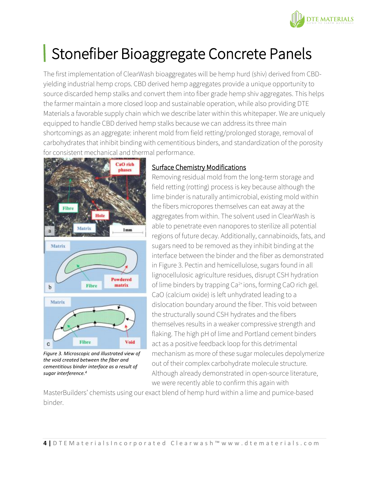

### Stonefiber Bioaggregate Concrete Panels

The first implementation of ClearWash bioaggregates will be hemp hurd (shiv) derived from CBDyielding industrial hemp crops. CBD derived hemp aggregates provide a unique opportunity to source discarded hemp stalks and convert them into fiber grade hemp shiv aggregates. This helps the farmer maintain a more closed loop and sustainable operation, while also providing DTE Materials a favorable supply chain which we describe later within this whitepaper. We are uniquely equipped to handle CBD derived hemp stalks because we can address its three main shortcomings as an aggregate: inherent mold from field retting/prolonged storage, removal of carbohydrates that inhibit binding with cementitious binders, and standardization of the porosity for consistent mechanical and thermal performance.



*Figure 3. Microscopic and illustrated view of the void created between the fiber and cementitious binder interface as a result of sugar interference.<sup>4</sup>*

### Surface Chemistry Modifications

Removing residual mold from the long-term storage and field retting (rotting) process is key because although the lime binder is naturally antimicrobial, existing mold within the fibers micropores themselves can eat away at the aggregates from within. The solvent used in ClearWash is able to penetrate even nanopores to sterilize all potential regions of future decay. Additionally, cannabinoids, fats, and sugars need to be removed as they inhibit binding at the interface between the binder and the fiber as demonstrated in Figure 3. Pectin and hemicellulose, sugars found in all lignocellulosic agriculture residues, disrupt CSH hydration of lime binders by trapping Ca<sup>2+</sup>ions, forming CaO rich gel. CaO (calcium oxide) is left unhydrated leading to a dislocation boundary around the fiber. This void between the structurally sound CSH hydrates and the fibers themselves results in a weaker compressive strength and flaking. The high pH of lime and Portland cement binders act as a positive feedback loop for this detrimental mechanism as more of these sugar molecules depolymerize out of their complex carbohydrate molecule structure. Although already demonstrated in open-source literature, we were recently able to confirm this again with

MasterBuilders' chemists using our exact blend of hemp hurd within a lime and pumice-based binder.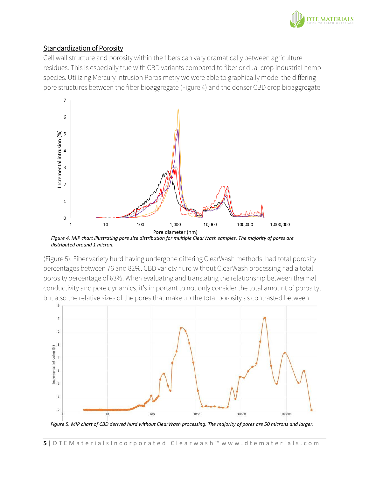

### Standardization of Porosity

Cell wall structure and porosity within the fibers can vary dramatically between agriculture residues. This is especially true with CBD variants compared to fiber or dual crop industrial hemp species. Utilizing Mercury Intrusion Porosimetry we were able to graphically model the differing pore structures between the fiber bioaggregate (Figure 4) and the denser CBD crop bioaggregate



*Figure 4. MIP chart illustrating pore size distribution for multiple ClearWash samples. The majority of pores are distributed around 1 micron.*

(Figure 5). Fiber variety hurd having undergone differing ClearWash methods, had total porosity percentages between 76 and 82%. CBD variety hurd without ClearWash processing had a total porosity percentage of 63%. When evaluating and translating the relationship between thermal conductivity and pore dynamics, it's important to not only consider the total amount of porosity, but also the relative sizes of the pores that make up the total porosity as contrasted between



*Figure 5. MIP chart of CBD derived hurd without ClearWash processing. The majority of pores are 50 microns and larger.*